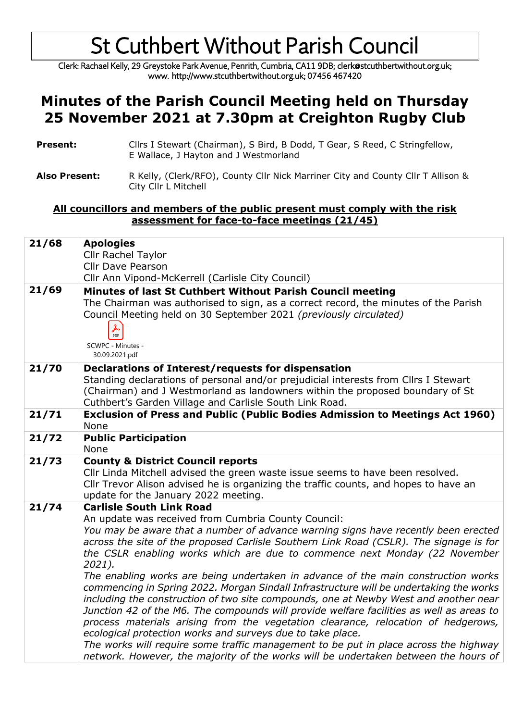Clerk: Rachael Kelly, 29 Greystoke Park Avenue, Penrith, Cumbria, CA11 9DB; clerk@stcuthbertwithout.org.uk; www. http://www.stcuthbertwithout.org.uk; 07456 467420

### **Minutes of the Parish Council Meeting held on Thursday 25 November 2021 at 7.30pm at Creighton Rugby Club**

- **Present:** Cllrs I Stewart (Chairman), S Bird, B Dodd, T Gear, S Reed, C Stringfellow, E Wallace, J Hayton and J Westmorland
- Also Present: R Kelly, (Clerk/RFO), County Cllr Nick Marriner City and County Cllr T Allison & City Cllr L Mitchell

#### **All councillors and members of the public present must comply with the risk assessment for face-to-face meetings (21/45)**

| 21/68 | <b>Apologies</b><br>Cllr Rachel Taylor<br><b>Cllr Dave Pearson</b>                                                                                                                                                                                                                                                                                                                                                                                                                                                                                                                                                                                                                                                                                                                                                                                                                                                                                                                                                                                                  |
|-------|---------------------------------------------------------------------------------------------------------------------------------------------------------------------------------------------------------------------------------------------------------------------------------------------------------------------------------------------------------------------------------------------------------------------------------------------------------------------------------------------------------------------------------------------------------------------------------------------------------------------------------------------------------------------------------------------------------------------------------------------------------------------------------------------------------------------------------------------------------------------------------------------------------------------------------------------------------------------------------------------------------------------------------------------------------------------|
|       | Cllr Ann Vipond-McKerrell (Carlisle City Council)                                                                                                                                                                                                                                                                                                                                                                                                                                                                                                                                                                                                                                                                                                                                                                                                                                                                                                                                                                                                                   |
| 21/69 | Minutes of last St Cuthbert Without Parish Council meeting<br>The Chairman was authorised to sign, as a correct record, the minutes of the Parish<br>Council Meeting held on 30 September 2021 (previously circulated)<br>PDF<br>SCWPC - Minutes -<br>30.09.2021.pdf                                                                                                                                                                                                                                                                                                                                                                                                                                                                                                                                                                                                                                                                                                                                                                                                |
| 21/70 | Declarations of Interest/requests for dispensation<br>Standing declarations of personal and/or prejudicial interests from Cllrs I Stewart<br>(Chairman) and J Westmorland as landowners within the proposed boundary of St<br>Cuthbert's Garden Village and Carlisle South Link Road.                                                                                                                                                                                                                                                                                                                                                                                                                                                                                                                                                                                                                                                                                                                                                                               |
| 21/71 | <b>Exclusion of Press and Public (Public Bodies Admission to Meetings Act 1960)</b><br>None                                                                                                                                                                                                                                                                                                                                                                                                                                                                                                                                                                                                                                                                                                                                                                                                                                                                                                                                                                         |
| 21/72 | <b>Public Participation</b><br>None                                                                                                                                                                                                                                                                                                                                                                                                                                                                                                                                                                                                                                                                                                                                                                                                                                                                                                                                                                                                                                 |
| 21/73 | <b>County &amp; District Council reports</b><br>Cllr Linda Mitchell advised the green waste issue seems to have been resolved.<br>Cllr Trevor Alison advised he is organizing the traffic counts, and hopes to have an<br>update for the January 2022 meeting.                                                                                                                                                                                                                                                                                                                                                                                                                                                                                                                                                                                                                                                                                                                                                                                                      |
| 21/74 | <b>Carlisle South Link Road</b><br>An update was received from Cumbria County Council:<br>You may be aware that a number of advance warning signs have recently been erected<br>across the site of the proposed Carlisle Southern Link Road (CSLR). The signage is for<br>the CSLR enabling works which are due to commence next Monday (22 November<br>2021).<br>The enabling works are being undertaken in advance of the main construction works<br>commencing in Spring 2022. Morgan Sindall Infrastructure will be undertaking the works<br>including the construction of two site compounds, one at Newby West and another near<br>Junction 42 of the M6. The compounds will provide welfare facilities as well as areas to<br>process materials arising from the vegetation clearance, relocation of hedgerows,<br>ecological protection works and surveys due to take place.<br>The works will require some traffic management to be put in place across the highway<br>network. However, the majority of the works will be undertaken between the hours of |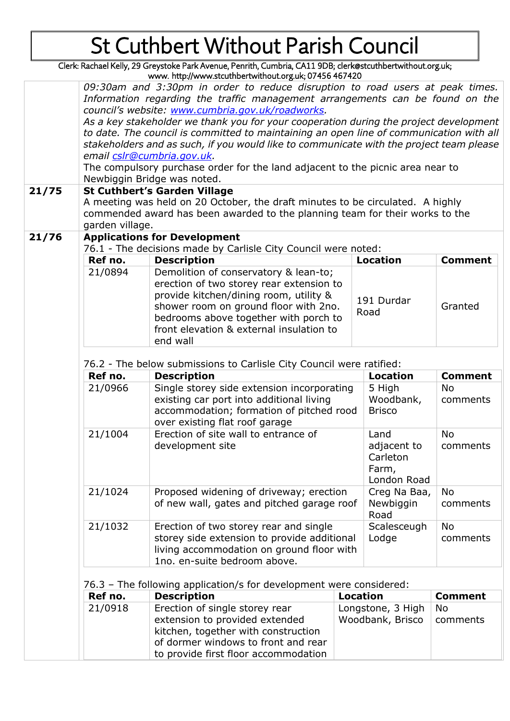Clerk: Rachael Kelly, 29 Greystoke Park Avenue, Penrith, Cumbria, CA11 9DB; clerk@stcuthbertwithout.org.uk; www. http://www.stcuthbertwithout.org.uk; 07456 467420

| 21/75 | 09:30am and 3:30pm in order to reduce disruption to road users at peak times.<br>Information regarding the traffic management arrangements can be found on the<br>council's website: www.cumbria.gov.uk/roadworks.<br>As a key stakeholder we thank you for your cooperation during the project development<br>to date. The council is committed to maintaining an open line of communication with all<br>stakeholders and as such, if you would like to communicate with the project team please<br>email cslr@cumbria.gov.uk.<br>The compulsory purchase order for the land adjacent to the picnic area near to<br>Newbiggin Bridge was noted.<br><b>St Cuthbert's Garden Village</b><br>A meeting was held on 20 October, the draft minutes to be circulated. A highly<br>commended award has been awarded to the planning team for their works to the |                                                                                                                                                                                                                                                    |                                                         |                             |                |  |  |  |
|-------|-----------------------------------------------------------------------------------------------------------------------------------------------------------------------------------------------------------------------------------------------------------------------------------------------------------------------------------------------------------------------------------------------------------------------------------------------------------------------------------------------------------------------------------------------------------------------------------------------------------------------------------------------------------------------------------------------------------------------------------------------------------------------------------------------------------------------------------------------------------|----------------------------------------------------------------------------------------------------------------------------------------------------------------------------------------------------------------------------------------------------|---------------------------------------------------------|-----------------------------|----------------|--|--|--|
|       | garden village.                                                                                                                                                                                                                                                                                                                                                                                                                                                                                                                                                                                                                                                                                                                                                                                                                                           |                                                                                                                                                                                                                                                    |                                                         |                             |                |  |  |  |
| 21/76 | <b>Applications for Development</b><br>76.1 - The decisions made by Carlisle City Council were noted:                                                                                                                                                                                                                                                                                                                                                                                                                                                                                                                                                                                                                                                                                                                                                     |                                                                                                                                                                                                                                                    |                                                         |                             |                |  |  |  |
|       | Ref no.                                                                                                                                                                                                                                                                                                                                                                                                                                                                                                                                                                                                                                                                                                                                                                                                                                                   | <b>Description</b>                                                                                                                                                                                                                                 |                                                         | <b>Location</b>             | <b>Comment</b> |  |  |  |
|       | 21/0894                                                                                                                                                                                                                                                                                                                                                                                                                                                                                                                                                                                                                                                                                                                                                                                                                                                   | Demolition of conservatory & lean-to;                                                                                                                                                                                                              |                                                         |                             |                |  |  |  |
|       |                                                                                                                                                                                                                                                                                                                                                                                                                                                                                                                                                                                                                                                                                                                                                                                                                                                           | erection of two storey rear extension to<br>provide kitchen/dining room, utility &<br>191 Durdar<br>shower room on ground floor with 2no.<br>Road<br>bedrooms above together with porch to<br>front elevation & external insulation to<br>end wall |                                                         |                             | Granted        |  |  |  |
|       |                                                                                                                                                                                                                                                                                                                                                                                                                                                                                                                                                                                                                                                                                                                                                                                                                                                           |                                                                                                                                                                                                                                                    |                                                         |                             |                |  |  |  |
|       | 76.2 - The below submissions to Carlisle City Council were ratified:                                                                                                                                                                                                                                                                                                                                                                                                                                                                                                                                                                                                                                                                                                                                                                                      |                                                                                                                                                                                                                                                    |                                                         |                             |                |  |  |  |
|       | Ref no.<br>21/0966                                                                                                                                                                                                                                                                                                                                                                                                                                                                                                                                                                                                                                                                                                                                                                                                                                        | <b>Description</b><br>Single storey side extension incorporating                                                                                                                                                                                   | <b>Location</b><br>5 High                               | <b>Comment</b><br><b>No</b> |                |  |  |  |
|       |                                                                                                                                                                                                                                                                                                                                                                                                                                                                                                                                                                                                                                                                                                                                                                                                                                                           | existing car port into additional living<br>accommodation; formation of pitched rood<br>over existing flat roof garage                                                                                                                             |                                                         | Woodbank,<br><b>Brisco</b>  | comments       |  |  |  |
|       | 21/1004                                                                                                                                                                                                                                                                                                                                                                                                                                                                                                                                                                                                                                                                                                                                                                                                                                                   | Erection of site wall to entrance of<br>development site                                                                                                                                                                                           | Land<br>adjacent to<br>Carleton<br>Farm,<br>London Road | No<br>comments              |                |  |  |  |
|       | 21/1024                                                                                                                                                                                                                                                                                                                                                                                                                                                                                                                                                                                                                                                                                                                                                                                                                                                   | Proposed widening of driveway; erection<br>of new wall, gates and pitched garage roof                                                                                                                                                              | Creg Na Baa,<br>Newbiggin<br>Road                       | No<br>comments              |                |  |  |  |
|       | 21/1032                                                                                                                                                                                                                                                                                                                                                                                                                                                                                                                                                                                                                                                                                                                                                                                                                                                   | Erection of two storey rear and single<br>storey side extension to provide additional<br>living accommodation on ground floor with<br>1no. en-suite bedroom above.                                                                                 |                                                         | Scalesceugh<br>Lodge        | No<br>comments |  |  |  |
|       |                                                                                                                                                                                                                                                                                                                                                                                                                                                                                                                                                                                                                                                                                                                                                                                                                                                           |                                                                                                                                                                                                                                                    |                                                         |                             |                |  |  |  |
|       | Ref no.                                                                                                                                                                                                                                                                                                                                                                                                                                                                                                                                                                                                                                                                                                                                                                                                                                                   | 76.3 - The following application/s for development were considered:<br><b>Description</b>                                                                                                                                                          | <b>Location</b>                                         |                             | <b>Comment</b> |  |  |  |
|       | 21/0918                                                                                                                                                                                                                                                                                                                                                                                                                                                                                                                                                                                                                                                                                                                                                                                                                                                   | Erection of single storey rear                                                                                                                                                                                                                     |                                                         |                             | No             |  |  |  |
|       |                                                                                                                                                                                                                                                                                                                                                                                                                                                                                                                                                                                                                                                                                                                                                                                                                                                           | extension to provided extended<br>kitchen, together with construction<br>of dormer windows to front and rear<br>to provide first floor accommodation                                                                                               | Longstone, 3 High<br>Woodbank, Brisco                   |                             | comments       |  |  |  |
|       |                                                                                                                                                                                                                                                                                                                                                                                                                                                                                                                                                                                                                                                                                                                                                                                                                                                           |                                                                                                                                                                                                                                                    |                                                         |                             |                |  |  |  |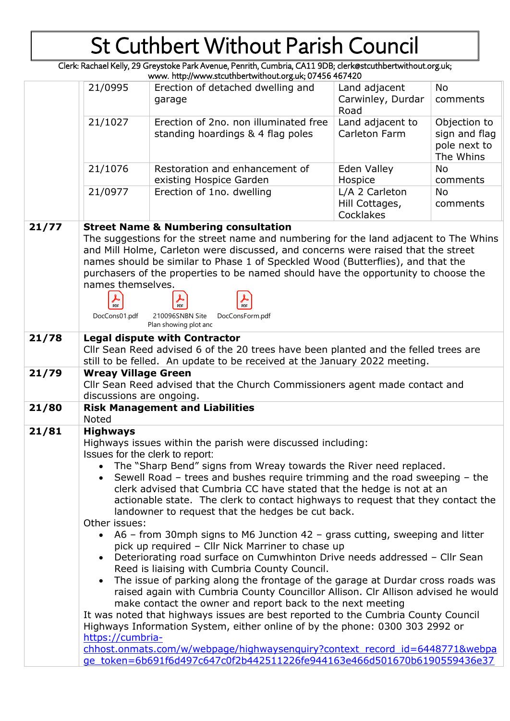Clerk: Rachael Kelly, 29 Greystoke Park Avenue, Penrith, Cumbria, CA11 9DB; clerk@stcuthbertwithout.org.uk;

| www.http://www.stcuthbertwithout.org.uk; 07456 467420 |                                                                                                                                                                                                                                                                                                                                                                                                                                                                                                                                                                                                                                                                                                                                                                                                                                                                                                                                                                                                                                                                                                                                                                                                                                                                                                 |                                                                                                                                                                                                                                                                                                                                                                                                                                                                                                       |                                               |                                                            |  |  |
|-------------------------------------------------------|-------------------------------------------------------------------------------------------------------------------------------------------------------------------------------------------------------------------------------------------------------------------------------------------------------------------------------------------------------------------------------------------------------------------------------------------------------------------------------------------------------------------------------------------------------------------------------------------------------------------------------------------------------------------------------------------------------------------------------------------------------------------------------------------------------------------------------------------------------------------------------------------------------------------------------------------------------------------------------------------------------------------------------------------------------------------------------------------------------------------------------------------------------------------------------------------------------------------------------------------------------------------------------------------------|-------------------------------------------------------------------------------------------------------------------------------------------------------------------------------------------------------------------------------------------------------------------------------------------------------------------------------------------------------------------------------------------------------------------------------------------------------------------------------------------------------|-----------------------------------------------|------------------------------------------------------------|--|--|
|                                                       | 21/0995                                                                                                                                                                                                                                                                                                                                                                                                                                                                                                                                                                                                                                                                                                                                                                                                                                                                                                                                                                                                                                                                                                                                                                                                                                                                                         | Erection of detached dwelling and<br>garage                                                                                                                                                                                                                                                                                                                                                                                                                                                           | Land adjacent<br>Carwinley, Durdar<br>Road    | <b>No</b><br>comments                                      |  |  |
|                                                       | 21/1027                                                                                                                                                                                                                                                                                                                                                                                                                                                                                                                                                                                                                                                                                                                                                                                                                                                                                                                                                                                                                                                                                                                                                                                                                                                                                         | Erection of 2no. non illuminated free<br>standing hoardings & 4 flag poles                                                                                                                                                                                                                                                                                                                                                                                                                            | Land adjacent to<br>Carleton Farm             | Objection to<br>sign and flag<br>pole next to<br>The Whins |  |  |
|                                                       | 21/1076                                                                                                                                                                                                                                                                                                                                                                                                                                                                                                                                                                                                                                                                                                                                                                                                                                                                                                                                                                                                                                                                                                                                                                                                                                                                                         | Restoration and enhancement of<br>existing Hospice Garden                                                                                                                                                                                                                                                                                                                                                                                                                                             | Eden Valley<br>Hospice                        | <b>No</b><br>comments                                      |  |  |
|                                                       | 21/0977                                                                                                                                                                                                                                                                                                                                                                                                                                                                                                                                                                                                                                                                                                                                                                                                                                                                                                                                                                                                                                                                                                                                                                                                                                                                                         | Erection of 1no. dwelling                                                                                                                                                                                                                                                                                                                                                                                                                                                                             | L/A 2 Carleton<br>Hill Cottages,<br>Cocklakes | <b>No</b><br>comments                                      |  |  |
| 21/77                                                 | names themselves.<br>PDF<br>DocCons01.pdf                                                                                                                                                                                                                                                                                                                                                                                                                                                                                                                                                                                                                                                                                                                                                                                                                                                                                                                                                                                                                                                                                                                                                                                                                                                       | <b>Street Name &amp; Numbering consultation</b><br>The suggestions for the street name and numbering for the land adjacent to The Whins<br>and Mill Holme, Carleton were discussed, and concerns were raised that the street<br>names should be similar to Phase 1 of Speckled Wood (Butterflies), and that the<br>purchasers of the properties to be named should have the opportunity to choose the<br>$\frac{1}{\text{PDF}}$<br>PDF<br>210096SNBN Site<br>DocConsForm.pdf<br>Plan showing plot and |                                               |                                                            |  |  |
| 21/78                                                 | <b>Legal dispute with Contractor</b><br>Cllr Sean Reed advised 6 of the 20 trees have been planted and the felled trees are<br>still to be felled. An update to be received at the January 2022 meeting.                                                                                                                                                                                                                                                                                                                                                                                                                                                                                                                                                                                                                                                                                                                                                                                                                                                                                                                                                                                                                                                                                        |                                                                                                                                                                                                                                                                                                                                                                                                                                                                                                       |                                               |                                                            |  |  |
| 21/79                                                 | <b>Wreay Village Green</b><br>Cllr Sean Reed advised that the Church Commissioners agent made contact and<br>discussions are ongoing.                                                                                                                                                                                                                                                                                                                                                                                                                                                                                                                                                                                                                                                                                                                                                                                                                                                                                                                                                                                                                                                                                                                                                           |                                                                                                                                                                                                                                                                                                                                                                                                                                                                                                       |                                               |                                                            |  |  |
| 21/80                                                 | <b>Noted</b>                                                                                                                                                                                                                                                                                                                                                                                                                                                                                                                                                                                                                                                                                                                                                                                                                                                                                                                                                                                                                                                                                                                                                                                                                                                                                    | <b>Risk Management and Liabilities</b>                                                                                                                                                                                                                                                                                                                                                                                                                                                                |                                               |                                                            |  |  |
| 21/81                                                 | <b>Highways</b><br>Highways issues within the parish were discussed including:<br>Issues for the clerk to report:<br>• The "Sharp Bend" signs from Wreay towards the River need replaced.<br>Sewell Road - trees and bushes require trimming and the road sweeping - the<br>clerk advised that Cumbria CC have stated that the hedge is not at an<br>actionable state. The clerk to contact highways to request that they contact the<br>landowner to request that the hedges be cut back.<br>Other issues:<br>• A6 – from 30mph signs to M6 Junction 42 – grass cutting, sweeping and litter<br>pick up required - Cllr Nick Marriner to chase up<br>Deteriorating road surface on Cumwhinton Drive needs addressed - Cllr Sean<br>Reed is liaising with Cumbria County Council.<br>The issue of parking along the frontage of the garage at Durdar cross roads was<br>raised again with Cumbria County Councillor Allison. Clr Allison advised he would<br>make contact the owner and report back to the next meeting<br>It was noted that highways issues are best reported to the Cumbria County Council<br>Highways Information System, either online of by the phone: 0300 303 2992 or<br>https://cumbria-<br>chhost.onmats.com/w/webpage/highwaysenguiry?context record id=6448771&webpa |                                                                                                                                                                                                                                                                                                                                                                                                                                                                                                       |                                               |                                                            |  |  |
|                                                       | ge token=6b691f6d497c647c0f2b442511226fe944163e466d501670b6190559436e37                                                                                                                                                                                                                                                                                                                                                                                                                                                                                                                                                                                                                                                                                                                                                                                                                                                                                                                                                                                                                                                                                                                                                                                                                         |                                                                                                                                                                                                                                                                                                                                                                                                                                                                                                       |                                               |                                                            |  |  |